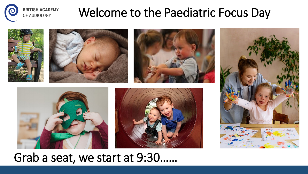

### Welcome to the Paediatric Focus Day













#### Grab a seat, we start at 9:30……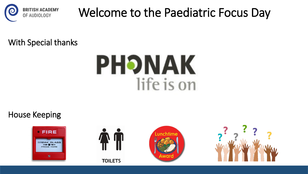

### Welcome to the Paediatric Focus Day

#### With Special thanks



#### House Keeping

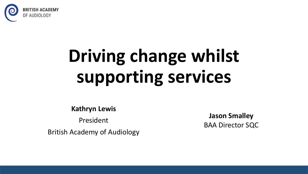

# **Driving change whilst supporting services**

**Kathryn Lewis** 

President

British Academy of Audiology

**Jason Smalley**  BAA Director SQC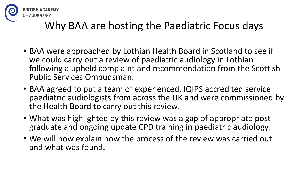

#### Why BAA are hosting the Paediatric Focus days

- BAA were approached by Lothian Health Board in Scotland to see if we could carry out a review of paediatric audiology in Lothian following a upheld complaint and recommendation from the Scottish Public Services Ombudsman.
- BAA agreed to put a team of experienced, IQIPS accredited service paediatric audiologists from across the UK and were commissioned by the Health Board to carry out this review.
- What was highlighted by this review was a gap of appropriate post graduate and ongoing update CPD training in paediatric audiology.
- We will now explain how the process of the review was carried out and what was found.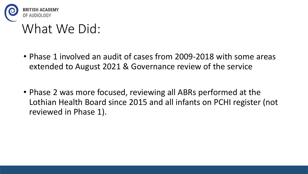

#### What We Did:

- Phase 1 involved an audit of cases from 2009-2018 with some areas extended to August 2021 & Governance review of the service
- Phase 2 was more focused, reviewing all ABRs performed at the Lothian Health Board since 2015 and all infants on PCHI register (not reviewed in Phase 1).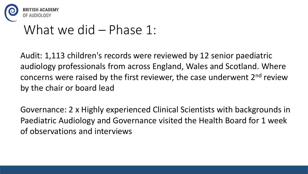

### What we did – Phase 1:

Audit: 1,113 children's records were reviewed by 12 senior paediatric audiology professionals from across England, Wales and Scotland. Where concerns were raised by the first reviewer, the case underwent 2<sup>nd</sup> review by the chair or board lead

Governance: 2 x Highly experienced Clinical Scientists with backgrounds in Paediatric Audiology and Governance visited the Health Board for 1 week of observations and interviews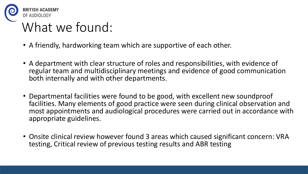

### What we found:

- A friendly, hardworking team which are supportive of each other.
- A department with clear structure of roles and responsibilities, with evidence of regular team and multidisciplinary meetings and evidence of good communication both internally and with other departments.
- Departmental facilities were found to be good, with excellent new soundproof facilities. Many elements of good practice were seen during clinical observation and most appointments and audiological procedures were carried out in accordance with appropriate guidelines.
- Onsite clinical review however found 3 areas which caused significant concern: VRA testing, Critical review of previous testing results and ABR testing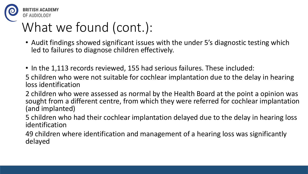

## What we found (cont.):

- Audit findings showed significant issues with the under 5's diagnostic testing which led to failures to diagnose children effectively.
- In the 1,113 records reviewed, 155 had serious failures. These included:
- 5 children who were not suitable for cochlear implantation due to the delay in hearing loss identification
- 2 children who were assessed as normal by the Health Board at the point a opinion was sought from a different centre, from which they were referred for cochlear implantation (and implanted)
- 5 children who had their cochlear implantation delayed due to the delay in hearing loss identification
- 49 children where identification and management of a hearing loss was significantly delayed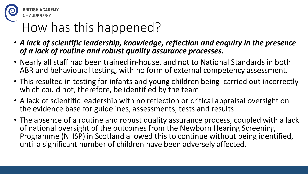

# How has this happened?

- *A lack of scientific leadership, knowledge, reflection and enquiry in the presence of a lack of routine and robust quality assurance processes.*
- Nearly all staff had been trained in-house, and not to National Standards in both ABR and behavioural testing, with no form of external competency assessment.
- This resulted in testing for infants and young children being carried out incorrectly which could not, therefore, be identified by the team
- A lack of scientific leadership with no reflection or critical appraisal oversight on the evidence base for guidelines, assessments, tests and results
- The absence of a routine and robust quality assurance process, coupled with a lack of national oversight of the outcomes from the Newborn Hearing Screening Programme (NHSP) in Scotland allowed this to continue without being identified, until a significant number of children have been adversely affected.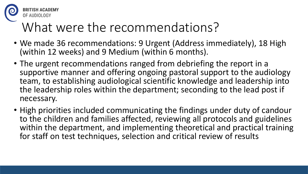

### What were the recommendations?

- We made 36 recommendations: 9 Urgent (Address immediately), 18 High (within 12 weeks) and 9 Medium (within 6 months).
- The urgent recommendations ranged from debriefing the report in a supportive manner and offering ongoing pastoral support to the audiology team, to establishing audiological scientific knowledge and leadership into the leadership roles within the department; seconding to the lead post if necessary.
- High priorities included communicating the findings under duty of candour to the children and families affected, reviewing all protocols and guidelines within the department, and implementing theoretical and practical training for staff on test techniques, selection and critical review of results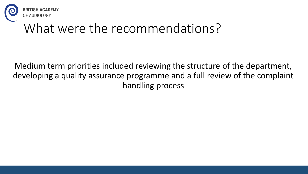

### What were the recommendations?

Medium term priorities included reviewing the structure of the department, developing a quality assurance programme and a full review of the complaint handling process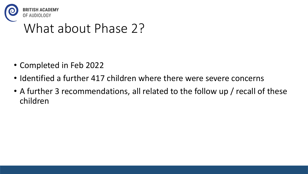

#### What about Phase 2?

- Completed in Feb 2022
- Identified a further 417 children where there were severe concerns
- A further 3 recommendations, all related to the follow up / recall of these children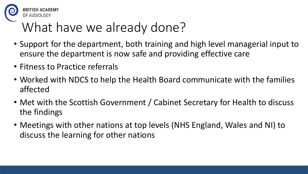

### What have we already done?

- Support for the department, both training and high level managerial input to ensure the department is now safe and providing effective care
- Fitness to Practice referrals
- Worked with NDCS to help the Health Board communicate with the families affected
- Met with the Scottish Government / Cabinet Secretary for Health to discuss the findings
- Meetings with other nations at top levels (NHS England, Wales and NI) to discuss the learning for other nations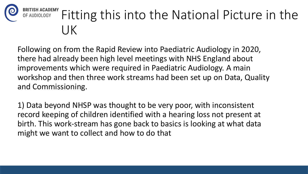

Following on from the Rapid Review into Paediatric Audiology in 2020, there had already been high level meetings with NHS England about improvements which were required in Paediatric Audiology. A main workshop and then three work streams had been set up on Data, Quality and Commissioning.

1) Data beyond NHSP was thought to be very poor, with inconsistent record keeping of children identified with a hearing loss not present at birth. This work-stream has gone back to basics is looking at what data might we want to collect and how to do that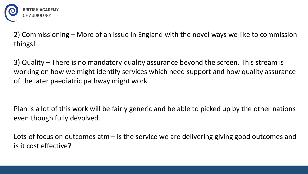

2) Commissioning – More of an issue in England with the novel ways we like to commission things!

3) Quality – There is no mandatory quality assurance beyond the screen. This stream is working on how we might identify services which need support and how quality assurance of the later paediatric pathway might work

Plan is a lot of this work will be fairly generic and be able to picked up by the other nations even though fully devolved.

Lots of focus on outcomes atm  $-$  is the service we are delivering giving good outcomes and is it cost effective?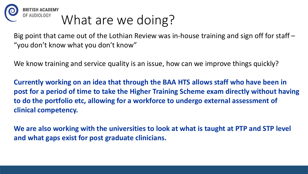

# What are we doing?

Big point that came out of the Lothian Review was in-house training and sign off for staff – "you don't know what you don't know"

We know training and service quality is an issue, how can we improve things quickly?

**Currently working on an idea that through the BAA HTS allows staff who have been in post for a period of time to take the Higher Training Scheme exam directly without having to do the portfolio etc, allowing for a workforce to undergo external assessment of clinical competency.**

**We are also working with the universities to look at what is taught at PTP and STP level and what gaps exist for post graduate clinicians.**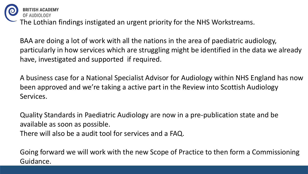

The Lothian findings instigated an urgent priority for the NHS Workstreams.

BAA are doing a lot of work with all the nations in the area of paediatric audiology, particularly in how services which are struggling might be identified in the data we already have, investigated and supported if required.

A business case for a National Specialist Advisor for Audiology within NHS England has now been approved and we're taking a active part in the Review into Scottish Audiology Services.

Quality Standards in Paediatric Audiology are now in a pre-publication state and be available as soon as possible. There will also be a audit tool for services and a FAQ.

Going forward we will work with the new Scope of Practice to then form a Commissioning Guidance.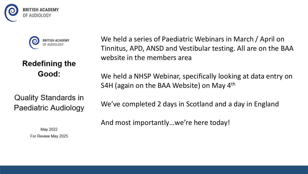



#### **Redefining the** Good:

We held a series of Paediatric Webinars in March / April on Tinnitus, APD, ANSD and Vestibular testing. All are on the BAA website in the members area

We held a NHSP Webinar, specifically looking at data entry on S4H (again on the BAA Website) on May 4<sup>th</sup>

**Quality Standards in** Paediatric Audiology

> May 2022 For Review May 2025

We've completed 2 days in Scotland and a day in England

And most importantly…we're here today!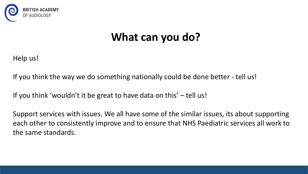

#### **What can you do?**

Help us!

If you think the way we do something nationally could be done better - tell us!

If you think 'wouldn't it be great to have data on this' – tell us!

Support services with issues. We all have some of the similar issues, its about supporting each other to consistently improve and to ensure that NHS Paediatric services all work to the same standards.